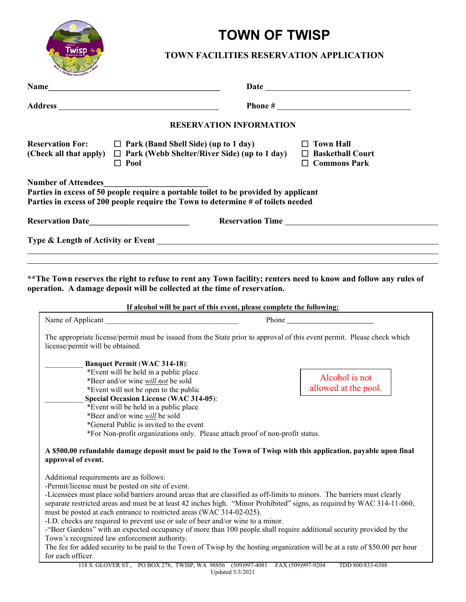

## **TOWN OF TWISP**

## **TOWN FACILITIES RESERVATION APPLICATION**

| <b>Name</b><br><u> 1989 - Johann John Stone, mars eta bainar eta mondo eta erroman erroman erroman erroman erroman erroman erroman erroman erroman erroman erroman erroman erroman erroman erroman erroman erroman erroman erroman erroman erro</u> | Date has been assessed by the series of the series of the series of the series of the series of the series of the series of the series of the series of the series of the series of the series of the series of the series of                       |
|-----------------------------------------------------------------------------------------------------------------------------------------------------------------------------------------------------------------------------------------------------|-----------------------------------------------------------------------------------------------------------------------------------------------------------------------------------------------------------------------------------------------------|
| Address and the set of the set of the set of the set of the set of the set of the set of the set of the set of the set of the set of the set of the set of the set of the set of the set of the set of the set of the set of t                      |                                                                                                                                                                                                                                                     |
|                                                                                                                                                                                                                                                     |                                                                                                                                                                                                                                                     |
|                                                                                                                                                                                                                                                     | <b>RESERVATION INFORMATION</b>                                                                                                                                                                                                                      |
| <b>Reservation For:</b><br>$\Box$ Park (Band Shell Side) (up to 1 day)<br>(Check all that apply) $\Box$ Park (Webb Shelter/River Side) (up to 1 day)<br>$\Box$ Pool                                                                                 | $\Box$ Town Hall<br>$\Box$ Basketball Court<br>$\Box$ Commons Park                                                                                                                                                                                  |
| <b>Number of Attendees</b><br>Parties in excess of 50 people require a portable toilet to be provided by applicant<br>Parties in excess of 200 people require the Town to determine # of toilets needed                                             |                                                                                                                                                                                                                                                     |
| Reservation Date                                                                                                                                                                                                                                    | Reservation Time                                                                                                                                                                                                                                    |
|                                                                                                                                                                                                                                                     |                                                                                                                                                                                                                                                     |
| operation. A damage deposit will be collected at the time of reservation.                                                                                                                                                                           | ** The Town reserves the right to refuse to rent any Town facility; renters need to know and follow any rules of                                                                                                                                    |
|                                                                                                                                                                                                                                                     | If alcohol will be part of this event, please complete the following:                                                                                                                                                                               |
|                                                                                                                                                                                                                                                     |                                                                                                                                                                                                                                                     |
| license/permit will be obtained.                                                                                                                                                                                                                    | The appropriate license/permit must be issued from the State prior to approval of this event permit. Please check which                                                                                                                             |
| <b>Banquet Permit (WAC 314-18):</b>                                                                                                                                                                                                                 |                                                                                                                                                                                                                                                     |
| *Event will be held in a public place                                                                                                                                                                                                               |                                                                                                                                                                                                                                                     |
| *Beer and/or wine will not be sold                                                                                                                                                                                                                  | Alcohol is not                                                                                                                                                                                                                                      |
| *Event will not be open to the public                                                                                                                                                                                                               | allowed at the pool.                                                                                                                                                                                                                                |
| <b>Special Occasion License (WAC 314-05):</b>                                                                                                                                                                                                       |                                                                                                                                                                                                                                                     |
| *Event will be held in a public place                                                                                                                                                                                                               |                                                                                                                                                                                                                                                     |
| *Beer and/or wine <i>will</i> be sold                                                                                                                                                                                                               |                                                                                                                                                                                                                                                     |
| *General Public is invited to the event                                                                                                                                                                                                             |                                                                                                                                                                                                                                                     |
| *For Non-profit organizations only. Please attach proof of non-profit status.                                                                                                                                                                       |                                                                                                                                                                                                                                                     |
| approval of event.                                                                                                                                                                                                                                  | A \$500.00 refundable damage deposit must be paid to the Town of Twisp with this application, payable upon final                                                                                                                                    |
| Additional requirements are as follows:                                                                                                                                                                                                             |                                                                                                                                                                                                                                                     |
| -Permit/license must be posted on site of event.                                                                                                                                                                                                    |                                                                                                                                                                                                                                                     |
|                                                                                                                                                                                                                                                     | -Licensees must place solid barriers around areas that are classified as off-limits to minors. The barriers must clearly<br>separate restricted areas and must be at least 42 inches high. "Minor Prohibited" signs, as required by WAC 314-11-060, |
| must be posted at each entrance to restricted areas (WAC 314-02-025).                                                                                                                                                                               |                                                                                                                                                                                                                                                     |
| -I.D. checks are required to prevent use or sale of beer and/or wine to a minor.                                                                                                                                                                    |                                                                                                                                                                                                                                                     |
|                                                                                                                                                                                                                                                     | -"Beer Gardens" with an expected occupancy of more than 100 people shall require additional security provided by the                                                                                                                                |
| Town's recognized law enforcement authority.                                                                                                                                                                                                        |                                                                                                                                                                                                                                                     |
| for each officer.                                                                                                                                                                                                                                   | The fee for added security to be paid to the Town of Twisp by the hosting organization will be at a rate of \$50.00 per hour                                                                                                                        |

Updated 5/3/2021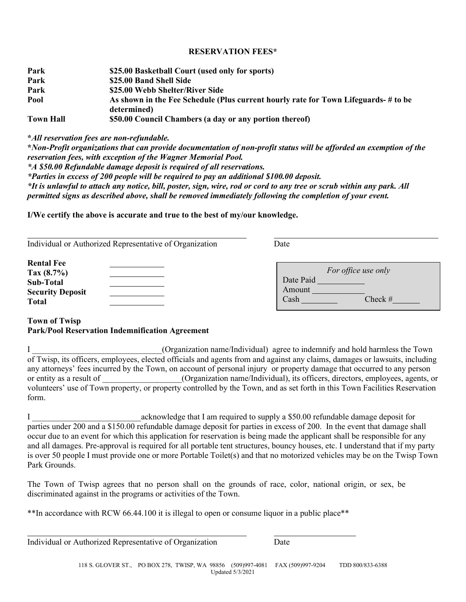## **RESERVATION FEES\***

| Park             | \$25.00 Basketball Court (used only for sports)                                     |  |
|------------------|-------------------------------------------------------------------------------------|--|
| Park             | \$25.00 Band Shell Side                                                             |  |
| Park             | \$25.00 Webb Shelter/River Side                                                     |  |
| Pool             | As shown in the Fee Schedule (Plus current hourly rate for Town Lifeguards- # to be |  |
|                  | determined)                                                                         |  |
| <b>Town Hall</b> | \$50.00 Council Chambers (a day or any portion thereof)                             |  |

**\****All reservation fees are non-refundable.*

**\****Non-Profit organizations that can provide documentation of non-profit status will be afforded an exemption of the reservation fees, with exception of the Wagner Memorial Pool. \*A \$50.00 Refundable damage deposit is required of all reservations. \*Parties in excess of 200 people will be required to pay an additional \$100.00 deposit. \*It is unlawful to attach any notice, bill, poster, sign, wire, rod or cord to any tree or scrub within any park. All permitted signs as described above, shall be removed immediately following the completion of your event.*

**I/We certify the above is accurate and true to the best of my/our knowledge.**

| Individual or Authorized Representative of Organization | Date                        |
|---------------------------------------------------------|-----------------------------|
| <b>Rental Fee</b><br>Tax $(8.7\%)$                      | For office use only         |
| Sub-Total                                               | Date Paid                   |
| <b>Security Deposit</b><br><b>Total</b>                 | Amount<br>Check $#$<br>Cash |

## **Town of Twisp Park/Pool Reservation Indemnification Agreement**

I comparison of  $O$  Corganization name/Individual) agree to indemnify and hold harmless the Town of Twisp, its officers, employees, elected officials and agents from and against any claims, damages or lawsuits, including any attorneys' fees incurred by the Town, on account of personal injury or property damage that occurred to any person or entity as a result of  $(Organization name/Individual)$ , its officers, directors, employees, agents, or volunteers' use of Town property, or property controlled by the Town, and as set forth in this Town Facilities Reservation form.

I acknowledge that I am required to supply a \$50.00 refundable damage deposit for parties under 200 and a \$150.00 refundable damage deposit for parties in excess of 200. In the event that damage shall occur due to an event for which this application for reservation is being made the applicant shall be responsible for any and all damages. Pre-approval is required for all portable tent structures, bouncy houses, etc. I understand that if my party is over 50 people I must provide one or more Portable Toilet(s) and that no motorized vehicles may be on the Twisp Town Park Grounds.

The Town of Twisp agrees that no person shall on the grounds of race, color, national origin, or sex, be discriminated against in the programs or activities of the Town.

\*\*In accordance with RCW 66.44.100 it is illegal to open or consume liquor in a public place\*\*

Individual or Authorized Representative of Organization Date